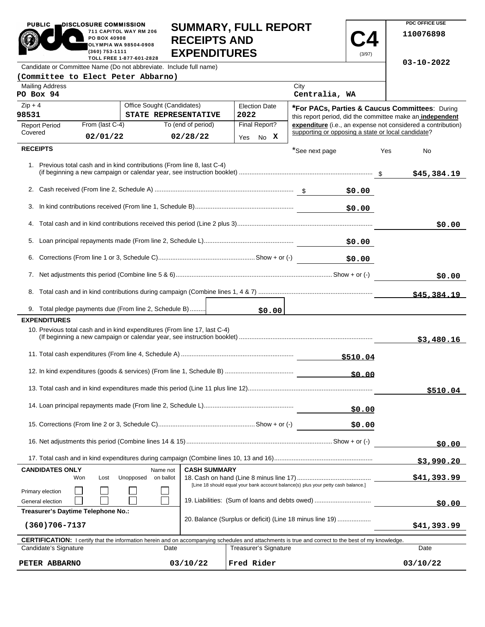|                                                                                                                                                                                                                      | SUMMARY, FULL REPORT<br>711 CAPITOL WAY RM 206<br>PO BOX 40908<br><b>RECEIPTS AND</b><br>OLYMPIA WA 98504-0908<br>(360) 753-1111<br><b>EXPENDITURES</b><br>(3/97)<br>TOLL FREE 1-877-601-2828 |                                                                           |                      |                                                           |                                                    |          |                  | 110076898                                                    |
|----------------------------------------------------------------------------------------------------------------------------------------------------------------------------------------------------------------------|-----------------------------------------------------------------------------------------------------------------------------------------------------------------------------------------------|---------------------------------------------------------------------------|----------------------|-----------------------------------------------------------|----------------------------------------------------|----------|------------------|--------------------------------------------------------------|
| Candidate or Committee Name (Do not abbreviate. Include full name)                                                                                                                                                   |                                                                                                                                                                                               |                                                                           |                      |                                                           |                                                    |          | $03 - 10 - 2022$ |                                                              |
|                                                                                                                                                                                                                      |                                                                                                                                                                                               | (Committee to Elect Peter Abbarno)                                        |                      |                                                           | City                                               |          |                  |                                                              |
| <b>Mailing Address</b><br>PO Box 94                                                                                                                                                                                  |                                                                                                                                                                                               |                                                                           |                      |                                                           | Centralia, WA                                      |          |                  |                                                              |
| $Zip + 4$<br>Office Sought (Candidates)                                                                                                                                                                              |                                                                                                                                                                                               |                                                                           | <b>Election Date</b> | *For PACs, Parties & Caucus Committees: During            |                                                    |          |                  |                                                              |
| 98531<br>STATE REPRESENTATIVE                                                                                                                                                                                        |                                                                                                                                                                                               | 2022                                                                      |                      | this report period, did the committee make an independent |                                                    |          |                  |                                                              |
| From (last C-4)<br>To (end of period)<br><b>Report Period</b>                                                                                                                                                        |                                                                                                                                                                                               |                                                                           |                      | Final Report?                                             | supporting or opposing a state or local candidate? |          |                  | expenditure (i.e., an expense not considered a contribution) |
| Covered                                                                                                                                                                                                              | 02/01/22                                                                                                                                                                                      |                                                                           | 02/28/22             | Yes No X                                                  |                                                    |          |                  |                                                              |
| <b>RECEIPTS</b>                                                                                                                                                                                                      |                                                                                                                                                                                               |                                                                           |                      |                                                           | *See next page                                     |          | Yes              | No                                                           |
|                                                                                                                                                                                                                      |                                                                                                                                                                                               | 1. Previous total cash and in kind contributions (From line 8, last C-4)  |                      |                                                           |                                                    |          |                  | \$45,384.19                                                  |
|                                                                                                                                                                                                                      |                                                                                                                                                                                               |                                                                           |                      |                                                           |                                                    |          |                  |                                                              |
|                                                                                                                                                                                                                      |                                                                                                                                                                                               |                                                                           |                      |                                                           |                                                    | \$0.00   |                  |                                                              |
| 3.                                                                                                                                                                                                                   |                                                                                                                                                                                               |                                                                           |                      |                                                           |                                                    | \$0.00   |                  |                                                              |
|                                                                                                                                                                                                                      |                                                                                                                                                                                               |                                                                           |                      |                                                           |                                                    |          |                  |                                                              |
|                                                                                                                                                                                                                      |                                                                                                                                                                                               |                                                                           |                      |                                                           |                                                    |          |                  | \$0.00                                                       |
|                                                                                                                                                                                                                      |                                                                                                                                                                                               |                                                                           |                      |                                                           |                                                    | \$0.00   |                  |                                                              |
|                                                                                                                                                                                                                      |                                                                                                                                                                                               |                                                                           |                      |                                                           |                                                    | \$0.00   |                  |                                                              |
|                                                                                                                                                                                                                      |                                                                                                                                                                                               |                                                                           |                      |                                                           |                                                    |          | \$0.00           |                                                              |
|                                                                                                                                                                                                                      |                                                                                                                                                                                               |                                                                           |                      |                                                           |                                                    |          |                  |                                                              |
|                                                                                                                                                                                                                      |                                                                                                                                                                                               |                                                                           |                      |                                                           |                                                    |          |                  | \$45,384.19                                                  |
|                                                                                                                                                                                                                      |                                                                                                                                                                                               | 9. Total pledge payments due (From line 2, Schedule B)                    |                      | \$0.00                                                    |                                                    |          |                  |                                                              |
| <b>EXPENDITURES</b>                                                                                                                                                                                                  |                                                                                                                                                                                               |                                                                           |                      |                                                           |                                                    |          |                  |                                                              |
|                                                                                                                                                                                                                      |                                                                                                                                                                                               | 10. Previous total cash and in kind expenditures (From line 17, last C-4) |                      |                                                           |                                                    |          |                  | \$3,480.16                                                   |
|                                                                                                                                                                                                                      |                                                                                                                                                                                               |                                                                           |                      |                                                           |                                                    | \$510.04 |                  |                                                              |
|                                                                                                                                                                                                                      |                                                                                                                                                                                               |                                                                           |                      |                                                           |                                                    | 50.00    |                  |                                                              |
|                                                                                                                                                                                                                      |                                                                                                                                                                                               |                                                                           |                      |                                                           |                                                    |          |                  | \$510.04                                                     |
|                                                                                                                                                                                                                      |                                                                                                                                                                                               |                                                                           |                      |                                                           | \$0.00                                             |          |                  |                                                              |
|                                                                                                                                                                                                                      |                                                                                                                                                                                               |                                                                           |                      |                                                           |                                                    | \$0.00   |                  |                                                              |
|                                                                                                                                                                                                                      |                                                                                                                                                                                               |                                                                           |                      |                                                           |                                                    |          | \$0.00           |                                                              |
|                                                                                                                                                                                                                      |                                                                                                                                                                                               |                                                                           |                      |                                                           |                                                    |          |                  |                                                              |
| <b>CANDIDATES ONLY</b><br><b>CASH SUMMARY</b><br>Name not                                                                                                                                                            |                                                                                                                                                                                               |                                                                           |                      |                                                           |                                                    |          | \$3,990.20       |                                                              |
|                                                                                                                                                                                                                      | on ballot<br>Won<br>Lost<br>Unopposed                                                                                                                                                         |                                                                           |                      |                                                           |                                                    |          | \$41,393.99      |                                                              |
| Primary election                                                                                                                                                                                                     | [Line 18 should equal your bank account balance(s) plus your petty cash balance.]                                                                                                             |                                                                           |                      |                                                           |                                                    |          |                  |                                                              |
| General election                                                                                                                                                                                                     | 19. Liabilities: (Sum of loans and debts owed)                                                                                                                                                |                                                                           |                      |                                                           |                                                    |          |                  | \$0.00                                                       |
|                                                                                                                                                                                                                      | Treasurer's Daytime Telephone No.:<br>20. Balance (Surplus or deficit) (Line 18 minus line 19)                                                                                                |                                                                           |                      |                                                           |                                                    |          |                  |                                                              |
| $(360)706 - 7137$                                                                                                                                                                                                    |                                                                                                                                                                                               |                                                                           |                      |                                                           |                                                    |          | \$41,393.99      |                                                              |
| <b>CERTIFICATION:</b> I certify that the information herein and on accompanying schedules and attachments is true and correct to the best of my knowledge.<br>Candidate's Signature<br>Treasurer's Signature<br>Date |                                                                                                                                                                                               |                                                                           |                      |                                                           |                                                    |          | Date             |                                                              |
| PETER ABBARNO                                                                                                                                                                                                        | 03/10/22<br>Fred Rider                                                                                                                                                                        |                                                                           |                      |                                                           |                                                    |          |                  | 03/10/22                                                     |

**SUMMARY, FULL REPORT** 

**PDC OFFICE USE** 

PUBLIC **DISCLOSURE COMMISSION**